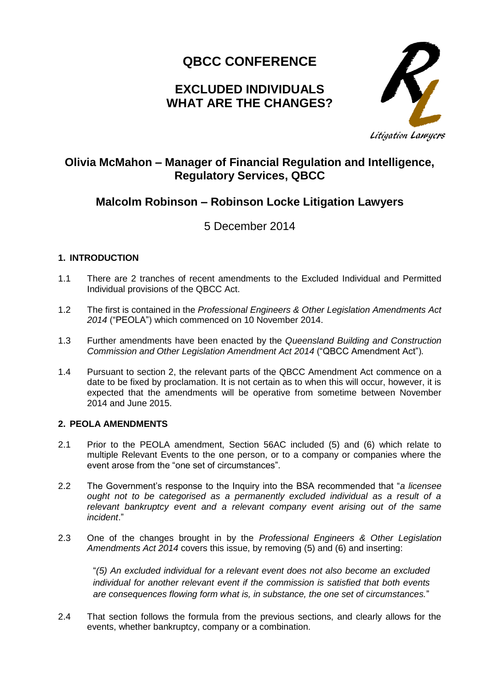# **QBCC CONFERENCE**

## **EXCLUDED INDIVIDUALS WHAT ARE THE CHANGES?**



### **Olivia McMahon – Manager of Financial Regulation and Intelligence, Regulatory Services, QBCC**

## **Malcolm Robinson – Robinson Locke Litigation Lawyers**

5 December 2014

### **1. INTRODUCTION**

- 1.1 There are 2 tranches of recent amendments to the Excluded Individual and Permitted Individual provisions of the QBCC Act.
- 1.2 The first is contained in the *Professional Engineers & Other Legislation Amendments Act 2014* ("PEOLA") which commenced on 10 November 2014.
- 1.3 Further amendments have been enacted by the *Queensland Building and Construction Commission and Other Legislation Amendment Act 2014* ("QBCC Amendment Act")*.*
- 1.4 Pursuant to section 2, the relevant parts of the QBCC Amendment Act commence on a date to be fixed by proclamation. It is not certain as to when this will occur, however, it is expected that the amendments will be operative from sometime between November 2014 and June 2015.

### **2. PEOLA AMENDMENTS**

- 2.1 Prior to the PEOLA amendment, Section 56AC included (5) and (6) which relate to multiple Relevant Events to the one person, or to a company or companies where the event arose from the "one set of circumstances".
- 2.2 The Government's response to the Inquiry into the BSA recommended that "*a licensee ought not to be categorised as a permanently excluded individual as a result of a relevant bankruptcy event and a relevant company event arising out of the same incident*."
- 2.3 One of the changes brought in by the *Professional Engineers & Other Legislation Amendments Act 2014* covers this issue, by removing (5) and (6) and inserting:

"*(5) An excluded individual for a relevant event does not also become an excluded individual for another relevant event if the commission is satisfied that both events are consequences flowing form what is, in substance, the one set of circumstances.*"

2.4 That section follows the formula from the previous sections, and clearly allows for the events, whether bankruptcy, company or a combination.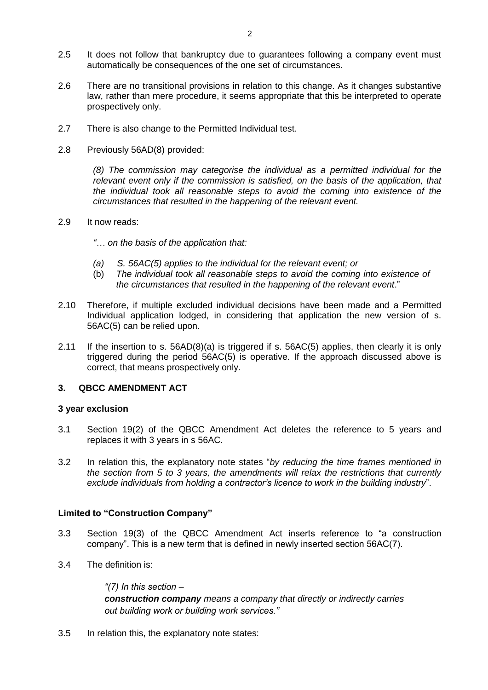- 2.5 It does not follow that bankruptcy due to guarantees following a company event must automatically be consequences of the one set of circumstances.
- 2.6 There are no transitional provisions in relation to this change. As it changes substantive law, rather than mere procedure, it seems appropriate that this be interpreted to operate prospectively only.
- 2.7 There is also change to the Permitted Individual test.
- 2.8 Previously 56AD(8) provided:

*(8) The commission may categorise the individual as a permitted individual for the relevant event only if the commission is satisfied, on the basis of the application, that the individual took all reasonable steps to avoid the coming into existence of the circumstances that resulted in the happening of the relevant event.* 

#### 2.9 It now reads:

*"… on the basis of the application that:*

- *(a) S. 56AC(5) applies to the individual for the relevant event; or*
- (b) *The individual took all reasonable steps to avoid the coming into existence of the circumstances that resulted in the happening of the relevant event*."
- 2.10 Therefore, if multiple excluded individual decisions have been made and a Permitted Individual application lodged, in considering that application the new version of s. 56AC(5) can be relied upon.
- 2.11 If the insertion to s. 56AD(8)(a) is triggered if s. 56AC(5) applies, then clearly it is only triggered during the period 56AC(5) is operative. If the approach discussed above is correct, that means prospectively only.

#### **3. QBCC AMENDMENT ACT**

#### **3 year exclusion**

- 3.1 Section 19(2) of the QBCC Amendment Act deletes the reference to 5 years and replaces it with 3 years in s 56AC.
- 3.2 In relation this, the explanatory note states "*by reducing the time frames mentioned in the section from 5 to 3 years, the amendments will relax the restrictions that currently exclude individuals from holding a contractor's licence to work in the building industry*".

#### **Limited to "Construction Company"**

- 3.3 Section 19(3) of the QBCC Amendment Act inserts reference to "a construction company". This is a new term that is defined in newly inserted section 56AC(7).
- 3.4 The definition is:

*"(7) In this section – construction company means a company that directly or indirectly carries out building work or building work services."*

3.5 In relation this, the explanatory note states: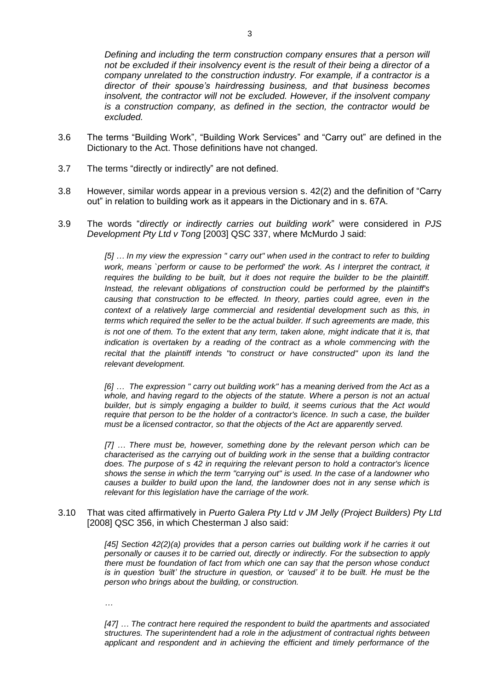*Defining and including the term construction company ensures that a person will not be excluded if their insolvency event is the result of their being a director of a company unrelated to the construction industry. For example, if a contractor is a director of their spouse's hairdressing business, and that business becomes insolvent, the contractor will not be excluded. However, if the insolvent company is a construction company, as defined in the section, the contractor would be excluded.* 

- 3.6 The terms "Building Work", "Building Work Services" and "Carry out" are defined in the Dictionary to the Act. Those definitions have not changed.
- 3.7 The terms "directly or indirectly" are not defined.
- 3.8 However, similar words appear in a previous version s. 42(2) and the definition of "Carry out" in relation to building work as it appears in the Dictionary and in s. 67A.
- 3.9 The words "*directly or indirectly carries out building work*" were considered in *PJS Development Pty Ltd v Tong* [2003] QSC 337, where McMurdo J said:

*[5] … In my view the expression " carry out" when used in the contract to refer to building*  work, means `perform or cause to be performed' the work. As I interpret the contract, it *requires the building to be built, but it does not require the builder to be the plaintiff. Instead, the relevant obligations of construction could be performed by the plaintiff's causing that construction to be effected. In theory, parties could agree, even in the context of a relatively large commercial and residential development such as this, in terms which required the seller to be the actual builder. If such agreements are made, this is not one of them. To the extent that any term, taken alone, might indicate that it is, that indication is overtaken by a reading of the contract as a whole commencing with the recital that the plaintiff intends "to construct or have constructed" upon its land the relevant development.*

*[6] … The expression " carry out building work" has a meaning derived from the Act as a whole, and having regard to the objects of the statute. Where a person is not an actual builder, but is simply engaging a builder to build, it seems curious that the Act would require that person to be the holder of a contractor's licence. In such a case, the builder must be a licensed contractor, so that the objects of the Act are apparently served.* 

*[7] … There must be, however, something done by the relevant person which can be characterised as the carrying out of building work in the sense that a building contractor does. The purpose of s 42 in requiring the relevant person to hold a contractor's licence shows the sense in which the term "carrying out" is used. In the case of a landowner who causes a builder to build upon the land, the landowner does not in any sense which is relevant for this legislation have the carriage of the work.*

3.10 That was cited affirmatively in *Puerto Galera Pty Ltd v JM Jelly (Project Builders) Pty Ltd* [2008] QSC 356, in which Chesterman J also said:

> *[45] [Section 42\(2\)\(a\)](http://www.austlii.edu.au/au/legis/qld/consol_reg/qbsar2003504/s42.html) provides that a person carries out building work if he carries it out personally or causes it to be carried out, directly or indirectly. For the subsection to apply there must be foundation of fact from which one can say that the person whose conduct is in question 'built' the structure in question, or 'caused' it to be built. He must be the person who brings about the building, or construction.*

*…*

*[47] … The contract here required the respondent to build the apartments and associated structures. The superintendent had a role in the adjustment of contractual rights between applicant and respondent and in achieving the efficient and timely performance of the*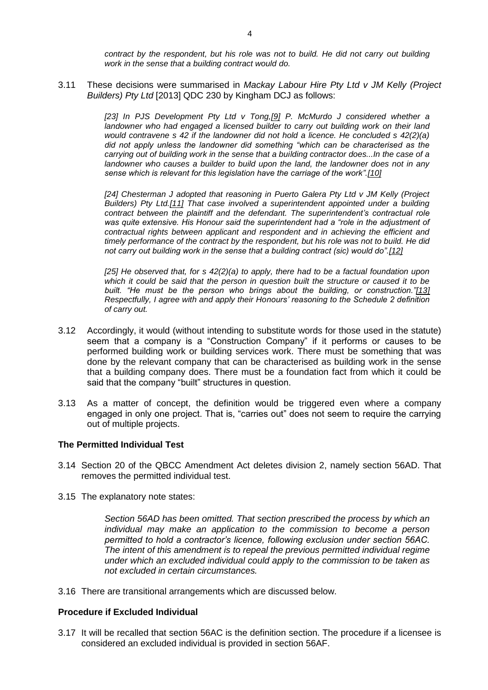*contract by the respondent, but his role was not to build. He did not carry out building work in the sense that a building contract would do.* 

3.11 These decisions were summarised in *Mackay Labour Hire Pty Ltd v JM Kelly (Project Builders) Pty Ltd* [2013] QDC 230 by Kingham DCJ as follows:

> *[23] In PJS Development Pty Ltd v Tong[,\[9\]](http://www.austlii.edu.au/cgi-bin/sinodisp/au/cases/qld/QDC/2013/230.html?stem=0&synonyms=0&query=QSC%202008%20356%20or%202008%20QSC%20356#fn9) P. McMurdo J considered whether a*  landowner who had engaged a licensed builder to carry out building work on their land *would contravene s 42 if the landowner did not hold a licence. He concluded s 42(2)(a) did not apply unless the landowner did something "which can be characterised as the carrying out of building work in the sense that a building contractor does...In the case of a landowner who causes a builder to build upon the land, the landowner does not in any sense which is relevant for this legislation have the carriage of the work"[.\[10\]](http://www.austlii.edu.au/cgi-bin/sinodisp/au/cases/qld/QDC/2013/230.html?stem=0&synonyms=0&query=QSC%202008%20356%20or%202008%20QSC%20356#fn10)*

> *[24] Chesterman J adopted that reasoning in Puerto Galera Pty Ltd v JM Kelly (Project Builders) Pty Ltd[.\[11\]](http://www.austlii.edu.au/cgi-bin/sinodisp/au/cases/qld/QDC/2013/230.html?stem=0&synonyms=0&query=QSC%202008%20356%20or%202008%20QSC%20356#fn11) That case involved a superintendent appointed under a building contract between the plaintiff and the defendant. The superintendent's contractual role was quite extensive. His Honour said the superintendent had a "role in the adjustment of contractual rights between applicant and respondent and in achieving the efficient and timely performance of the contract by the respondent, but his role was not to build. He did not carry out building work in the sense that a building contract (sic) would do"[.\[12\]](http://www.austlii.edu.au/cgi-bin/sinodisp/au/cases/qld/QDC/2013/230.html?stem=0&synonyms=0&query=QSC%202008%20356%20or%202008%20QSC%20356#fn12)*

> *[25] He observed that, for s 42(2)(a) to apply, there had to be a factual foundation upon which it could be said that the person in question built the structure or caused it to be built. "He must be the person who brings about the building, or construction.["\[13\]](http://www.austlii.edu.au/cgi-bin/sinodisp/au/cases/qld/QDC/2013/230.html?stem=0&synonyms=0&query=QSC%202008%20356%20or%202008%20QSC%20356#fn13) Respectfully, I agree with and apply their Honours' reasoning to the Schedule 2 definition of carry out.*

- 3.12 Accordingly, it would (without intending to substitute words for those used in the statute) seem that a company is a "Construction Company" if it performs or causes to be performed building work or building services work. There must be something that was done by the relevant company that can be characterised as building work in the sense that a building company does. There must be a foundation fact from which it could be said that the company "built" structures in question.
- 3.13 As a matter of concept, the definition would be triggered even where a company engaged in only one project. That is, "carries out" does not seem to require the carrying out of multiple projects.

#### **The Permitted Individual Test**

- 3.14 Section 20 of the QBCC Amendment Act deletes division 2, namely section 56AD. That removes the permitted individual test.
- 3.15 The explanatory note states:

*Section 56AD has been omitted. That section prescribed the process by which an individual may make an application to the commission to become a person permitted to hold a contractor's licence, following exclusion under section 56AC. The intent of this amendment is to repeal the previous permitted individual regime under which an excluded individual could apply to the commission to be taken as not excluded in certain circumstances.*

3.16 There are transitional arrangements which are discussed below.

#### **Procedure if Excluded Individual**

3.17 It will be recalled that section 56AC is the definition section. The procedure if a licensee is considered an excluded individual is provided in section 56AF.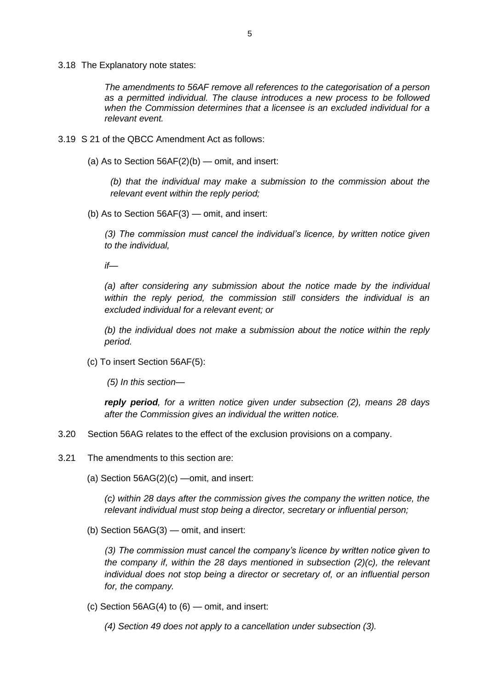3.18 The Explanatory note states:

*The amendments to 56AF remove all references to the categorisation of a person as a permitted individual. The clause introduces a new process to be followed when the Commission determines that a licensee is an excluded individual for a relevant event.*

- 3.19 S 21 of the QBCC Amendment Act as follows:
	- (a) As to Section 56AF(2)(b) omit, and insert:

*(b) that the individual may make a submission to the commission about the relevant event within the reply period;*

(b) As to Section 56AF(3) — omit, and insert:

*(3) The commission must cancel the individual's licence, by written notice given to the individual,*

*if—*

*(a) after considering any submission about the notice made by the individual within the reply period, the commission still considers the individual is an excluded individual for a relevant event; or*

*(b) the individual does not make a submission about the notice within the reply period.*

(c) To insert Section 56AF(5):

*(5) In this section—*

*reply period, for a written notice given under subsection (2), means 28 days after the Commission gives an individual the written notice.*

- 3.20 Section 56AG relates to the effect of the exclusion provisions on a company.
- 3.21 The amendments to this section are:
	- (a) Section 56AG(2)(c) —omit, and insert:

*(c) within 28 days after the commission gives the company the written notice, the relevant individual must stop being a director, secretary or influential person;*

(b) Section 56AG(3) — omit, and insert:

*(3) The commission must cancel the company's licence by written notice given to the company if, within the 28 days mentioned in subsection (2)(c), the relevant individual does not stop being a director or secretary of, or an influential person for, the company.*

- (c) Section  $56AG(4)$  to  $(6)$  omit, and insert:
	- *(4) Section 49 does not apply to a cancellation under subsection (3).*